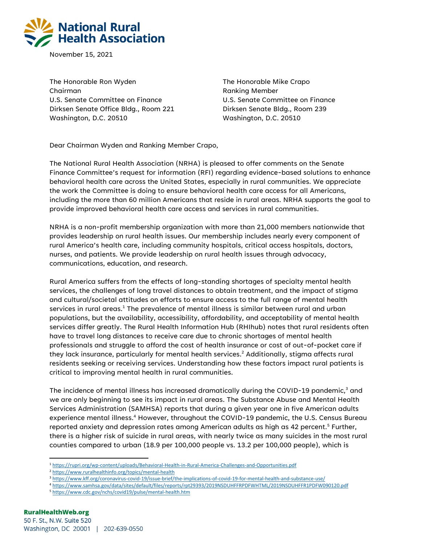

November 15, 2021

The Honorable Ron Wyden Chairman U.S. Senate Committee on Finance Dirksen Senate Office Bldg., Room 221 Washington, D.C. 20510

The Honorable Mike Crapo Ranking Member U.S. Senate Committee on Finance Dirksen Senate Bldg., Room 239 Washington, D.C. 20510

Dear Chairman Wyden and Ranking Member Crapo,

The National Rural Health Association (NRHA) is pleased to offer comments on the Senate Finance Committee's request for information (RFI) regarding evidence-based solutions to enhance behavioral health care across the United States, especially in rural communities. We appreciate the work the Committee is doing to ensure behavioral health care access for all Americans, including the more than 60 million Americans that reside in rural areas. NRHA supports the goal to provide improved behavioral health care access and services in rural communities.

NRHA is a non-profit membership organization with more than 21,000 members nationwide that provides leadership on rural health issues. Our membership includes nearly every component of rural America's health care, including community hospitals, critical access hospitals, doctors, nurses, and patients. We provide leadership on rural health issues through advocacy, communications, education, and research.

Rural America suffers from the effects of long-standing shortages of specialty mental health services, the challenges of long travel distances to obtain treatment, and the impact of stigma and cultural/societal attitudes on efforts to ensure access to the full range of mental health services in rural areas.<sup>1</sup> The prevalence of mental illness is similar between rural and urban populations, but the availability, accessibility, affordability, and acceptability of mental health services differ greatly. The Rural Health Information Hub (RHIhub) notes that rural residents often have to travel long distances to receive care due to chronic shortages of mental health professionals and struggle to afford the cost of health insurance or cost of out-of-pocket care if they lack insurance, particularly for mental health services.<sup>2</sup> Additionally, stigma affects rural residents seeking or receiving services. Understanding how these factors impact rural patients is critical to improving mental health in rural communities.

The incidence of mental illness has increased dramatically during the COVID-19 pandemic,<sup>3</sup> and we are only beginning to see its impact in rural areas. The Substance Abuse and Mental Health Services Administration (SAMHSA) reports that during a given year one in five American adults experience mental illness.<sup>4</sup> However, throughout the COVID-19 pandemic, the U.S. Census Bureau reported anxiety and depression rates among American adults as high as 42 percent.<sup>5</sup> Further, there is a higher risk of suicide in rural areas, with nearly twice as many suicides in the most rural counties compared to urban (18.9 per 100,000 people vs. 13.2 per 100,000 people), which is

- <sup>4</sup> <https://www.samhsa.gov/data/sites/default/files/reports/rpt29393/2019NSDUHFFRPDFWHTML/2019NSDUHFFR1PDFW090120.pdf>
- <sup>5</sup> <https://www.cdc.gov/nchs/covid19/pulse/mental-health.htm>

<sup>1</sup> <https://rupri.org/wp-content/uploads/Behavioral-Health-in-Rural-America-Challenges-and-Opportunities.pdf>

<sup>2</sup> <https://www.ruralhealthinfo.org/topics/mental-health>

<sup>3</sup> <https://www.kff.org/coronavirus-covid-19/issue-brief/the-implications-of-covid-19-for-mental-health-and-substance-use/>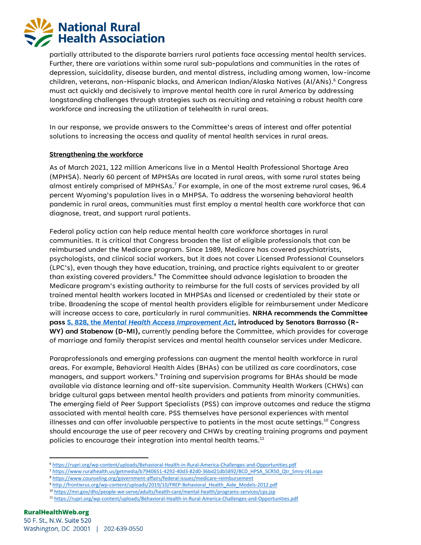

partially attributed to the disparate barriers rural patients face accessing mental health services. Further, there are variations within some rural sub-populations and communities in the rates of depression, suicidality, disease burden, and mental distress, including among women, low-income children, veterans, non-Hispanic blacks, and American Indian/Alaska Natives (AI/ANs).<sup>6</sup> Congress must act quickly and decisively to improve mental health care in rural America by addressing longstanding challenges through strategies such as recruiting and retaining a robust health care workforce and increasing the utilization of telehealth in rural areas.

In our response, we provide answers to the Committee's areas of interest and offer potential solutions to increasing the access and quality of mental health services in rural areas.

## **Strengthening the workforce**

As of March 2021, 122 million Americans live in a Mental Health Professional Shortage Area (MPHSA). Nearly 60 percent of MPHSAs are located in rural areas, with some rural states being almost entirely comprised of MPHSAs.<sup>7</sup> For example, in one of the most extreme rural cases, 96.4 percent Wyoming's population lives in a MHPSA. To address the worsening behavioral health pandemic in rural areas, communities must first employ a mental health care workforce that can diagnose, treat, and support rural patients.

Federal policy action can help reduce mental health care workforce shortages in rural communities. It is critical that Congress broaden the list of eligible professionals that can be reimbursed under the Medicare program. Since 1989, Medicare has covered psychiatrists, psychologists, and clinical social workers, but it does not cover Licensed Professional Counselors (LPC's), even though they have education, training, and practice rights equivalent to or greater than existing covered providers. <sup>8</sup> The Committee should advance legislation to broaden the Medicare program's existing authority to reimburse for the full costs of services provided by all trained mental health workers located in MHPSAs and licensed or credentialed by their state or tribe. Broadening the scope of mental health providers eligible for reimbursement under Medicare will increase access to care, particularly in rural communities. **NRHA recommends the Committee pass S. 828, the** *[Mental Health Access Improvement Act](https://www.congress.gov/bill/117th-congress/senate-bill/828?q=%7B%22search%22%3A%5B%22s.+828%22%2C%22s.%22%2C%22828%22%5D%7D&s=1&r=2)***, introduced by Senators Barrasso (R-WY) and Stabenow (D-MI),** currently pending before the Committee, which provides for coverage of marriage and family therapist services and mental health counselor services under Medicare.

Paraprofessionals and emerging professions can augment the mental health workforce in rural areas. For example, Behavioral Health Aides (BHAs) can be utilized as care coordinators, case managers, and support workers.<sup>9</sup> Training and supervision programs for BHAs should be made available via distance learning and off-site supervision. Community Health Workers (CHWs) can bridge cultural gaps between mental health providers and patients from minority communities. The emerging field of Peer Support Specialists (PSS) can improve outcomes and reduce the stigma associated with mental health care. PSS themselves have personal experiences with mental illnesses and can offer invaluable perspective to patients in the most acute settings. $^{10}$  Congress should encourage the use of peer recovery and CHWs by creating training programs and payment policies to encourage their integration into mental health teams. $^{\rm 11}$ 

<sup>6</sup> <https://rupri.org/wp-content/uploads/Behavioral-Health-in-Rural-America-Challenges-and-Opportunities.pdf>

<sup>7</sup> [https://www.ruralhealth.us/getmedia/b7940651-4292-40d3-82d0-36bd21db5892/BCD\\_HPSA\\_SCR50\\_Qtr\\_Smry-\(4\).aspx](https://www.ruralhealth.us/getmedia/b7940651-4292-40d3-82d0-36bd21db5892/BCD_HPSA_SCR50_Qtr_Smry-(4).aspx)

<sup>8</sup> <https://www.counseling.org/government-affairs/federal-issues/medicare-reimbursement>

<sup>9</sup> http://frontierus.org/wp-content/uploads/2019/10/FREP-Behavioral Health Aide Models-2012.pdf

<sup>10</sup> <https://mn.gov/dhs/people-we-serve/adults/health-care/mental-health/programs-services/cps.jsp>

<sup>11</sup> <https://rupri.org/wp-content/uploads/Behavioral-Health-in-Rural-America-Challenges-and-Opportunities.pdf>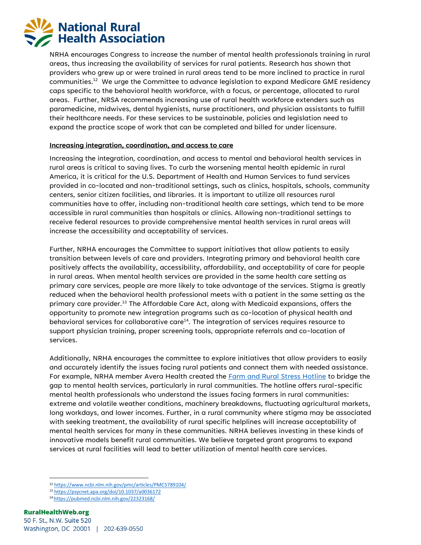

NRHA encourages Congress to increase the number of mental health professionals training in rural areas, thus increasing the availability of services for rural patients. Research has shown that providers who grew up or were trained in rural areas tend to be more inclined to practice in rural communities.<sup>12</sup> We urge the Committee to advance legislation to expand Medicare GME residency caps specific to the behavioral health workforce, with a focus, or percentage, allocated to rural areas. Further, NRSA recommends increasing use of rural health workforce extenders such as paramedicine, midwives, dental hygienists, nurse practitioners, and physician assistants to fulfill their healthcare needs. For these services to be sustainable, policies and legislation need to expand the practice scope of work that can be completed and billed for under licensure.

## **Increasing integration, coordination, and access to care**

Increasing the integration, coordination, and access to mental and behavioral health services in rural areas is critical to saving lives. To curb the worsening mental health epidemic in rural America, it is critical for the U.S. Department of Health and Human Services to fund services provided in co-located and non-traditional settings, such as clinics, hospitals, schools, community centers, senior citizen facilities, and libraries. It is important to utilize all resources rural communities have to offer, including non-traditional health care settings, which tend to be more accessible in rural communities than hospitals or clinics. Allowing non-traditional settings to receive federal resources to provide comprehensive mental health services in rural areas will increase the accessibility and acceptability of services.

Further, NRHA encourages the Committee to support initiatives that allow patients to easily transition between levels of care and providers. Integrating primary and behavioral health care positively affects the availability, accessibility, affordability, and acceptability of care for people in rural areas. When mental health services are provided in the same health care setting as primary care services, people are more likely to take advantage of the services. Stigma is greatly reduced when the behavioral health professional meets with a patient in the same setting as the primary care provider.<sup>13</sup> The Affordable Care Act, along with Medicaid expansions, offers the opportunity to promote new integration programs such as co-location of physical health and behavioral services for collaborative care<sup>14</sup>. The integration of services requires resource to support physician training, proper screening tools, appropriate referrals and co-location of services.

Additionally, NRHA encourages the committee to explore initiatives that allow providers to easily and accurately identify the issues facing rural patients and connect them with needed assistance. For example, NRHA member Avera Health created the [Farm and Rural Stress Hotline](https://www.avera.org/services/behavioral-health/farmer-stress-hotline/) to bridge the gap to mental health services, particularly in rural communities. The hotline offers rural-specific mental health professionals who understand the issues facing farmers in rural communities: extreme and volatile weather conditions, machinery breakdowns, fluctuating agricultural markets, long workdays, and lower incomes. Further, in a rural community where stigma may be associated with seeking treatment, the availability of rural specific helplines will increase acceptability of mental health services for many in these communities. NRHA believes investing in these kinds of innovative models benefit rural communities. We believe targeted grant programs to expand services at rural facilities will lead to better utilization of mental health care services.

<sup>12</sup> <https://www.ncbi.nlm.nih.gov/pmc/articles/PMC5789104/>

<sup>13</sup> <https://psycnet.apa.org/doi/10.1037/a0036172>

<sup>14</sup> <https://pubmed.ncbi.nlm.nih.gov/22323168/>